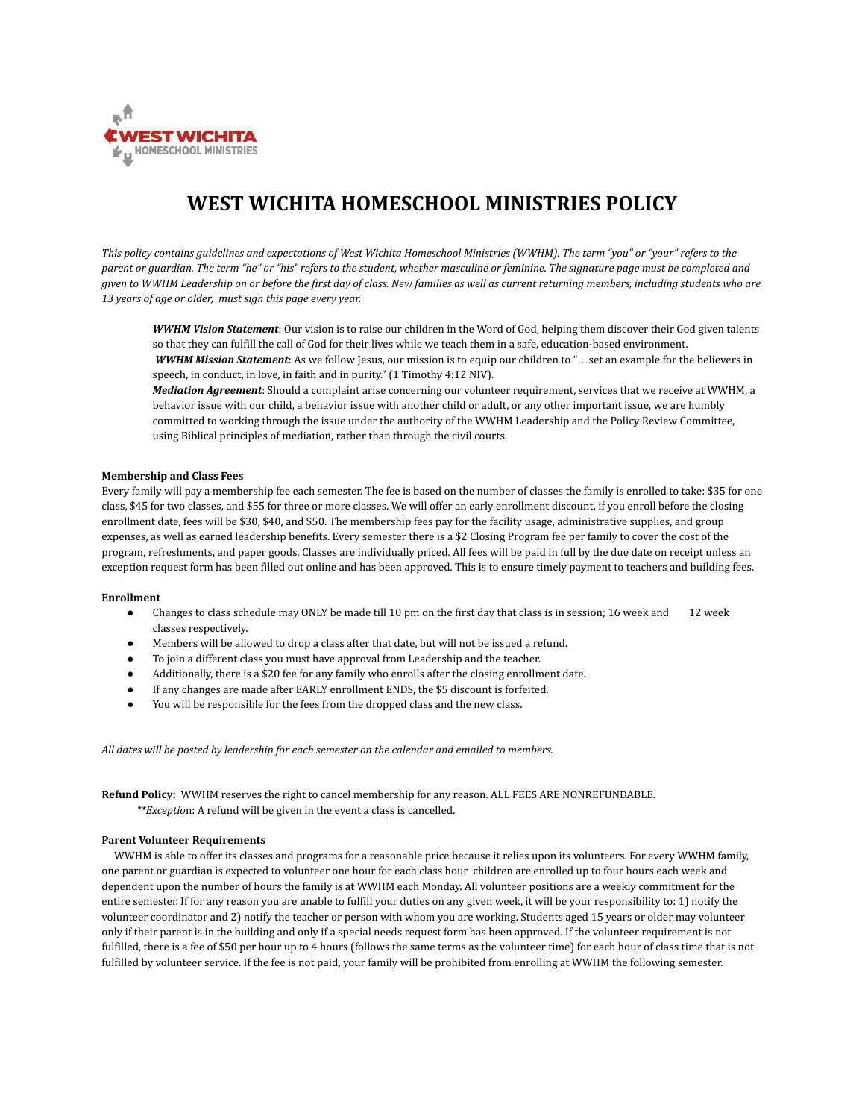

# **WEST WICHITA HOMESCHOOL MINISTRIES POLICY**

This policy contains guidelines and expectations of West Wichita Homeschool Ministries (WWHM). The term "you" or "your" refers to the parent or guardian. The term "he" or "his" refers to the student, whether masculine or feminine. The signature page must be completed and given to WWHM Leadership on or before the first day of class. New families as well as current returning members, including students who are *13 years of age or older, must sign this page every year.*

*WWHM Vision Statement*: Our vision is to raise our children in the Word of God, helping them discover their God given talents so that they can fulfill the call of God for their lives while we teach them in a safe, education-based environment. *WWHM Mission Statement*: As we follow Jesus, our mission is to equip our children to "…set an example for the believers in speech, in conduct, in love, in faith and in purity." (1 Timothy 4:12 NIV).

*Mediation Agreement*: Should a complaint arise concerning our volunteer requirement, services that we receive at WWHM, a behavior issue with our child, a behavior issue with another child or adult, or any other important issue, we are humbly committed to working through the issue under the authority of the WWHM Leadership and the Policy Review Committee, using Biblical principles of mediation, rather than through the civil courts.

#### **Membership and Class Fees**

Every family will pay a membership fee each semester. The fee is based on the number of classes the family is enrolled to take: \$35 for one class, \$45 for two classes, and \$55 for three or more classes. We will offer an early enrollment discount, if you enroll before the closing enrollment date, fees will be \$30, \$40, and \$50. The membership fees pay for the facility usage, administrative supplies, and group expenses, as well as earned leadership benefits. Every semester there is a \$2 Closing Program fee per family to cover the cost of the program, refreshments, and paper goods. Classes are individually priced. All fees will be paid in full by the due date on receipt unless an exception request form has been filled out online and has been approved. This is to ensure timely payment to teachers and building fees.

#### **Enrollment**

- Changes to class schedule may ONLY be made till 10 pm on the first day that class is in session; 16 week and 12 week classes respectively.
- Members will be allowed to drop a class after that date, but will not be issued a refund.
- To join a different class you must have approval from Leadership and the teacher.
- Additionally, there is a \$20 fee for any family who enrolls after the closing enrollment date.
- If any changes are made after EARLY enrollment ENDS, the \$5 discount is forfeited.
- You will be responsible for the fees from the dropped class and the new class.

*All dates will be posted by leadership for each semester on the calendar and emailed to members.*

**Refund Policy:** WWHM reserves the right to cancel membership for any reason. ALL FEES ARE NONREFUNDABLE. *\*\*Exceptio*n: A refund will be given in the event a class is cancelled.

#### **Parent Volunteer Requirements**

WWHM is able to offer its classes and programs for a reasonable price because it relies upon its volunteers. For every WWHM family, one parent or guardian is expected to volunteer one hour for each class hour children are enrolled up to four hours each week and dependent upon the number of hours the family is at WWHM each Monday. All volunteer positions are a weekly commitment for the entire semester. If for any reason you are unable to fulfill your duties on any given week, it will be your responsibility to: 1) notify the volunteer coordinator and 2) notify the teacher or person with whom you are working. Students aged 15 years or older may volunteer only if their parent is in the building and only if a special needs request form has been approved. If the volunteer requirement is not fulfilled, there is a fee of \$50 per hour up to 4 hours (follows the same terms as the volunteer time) for each hour of class time that is not fulfilled by volunteer service. If the fee is not paid, your family will be prohibited from enrolling at WWHM the following semester.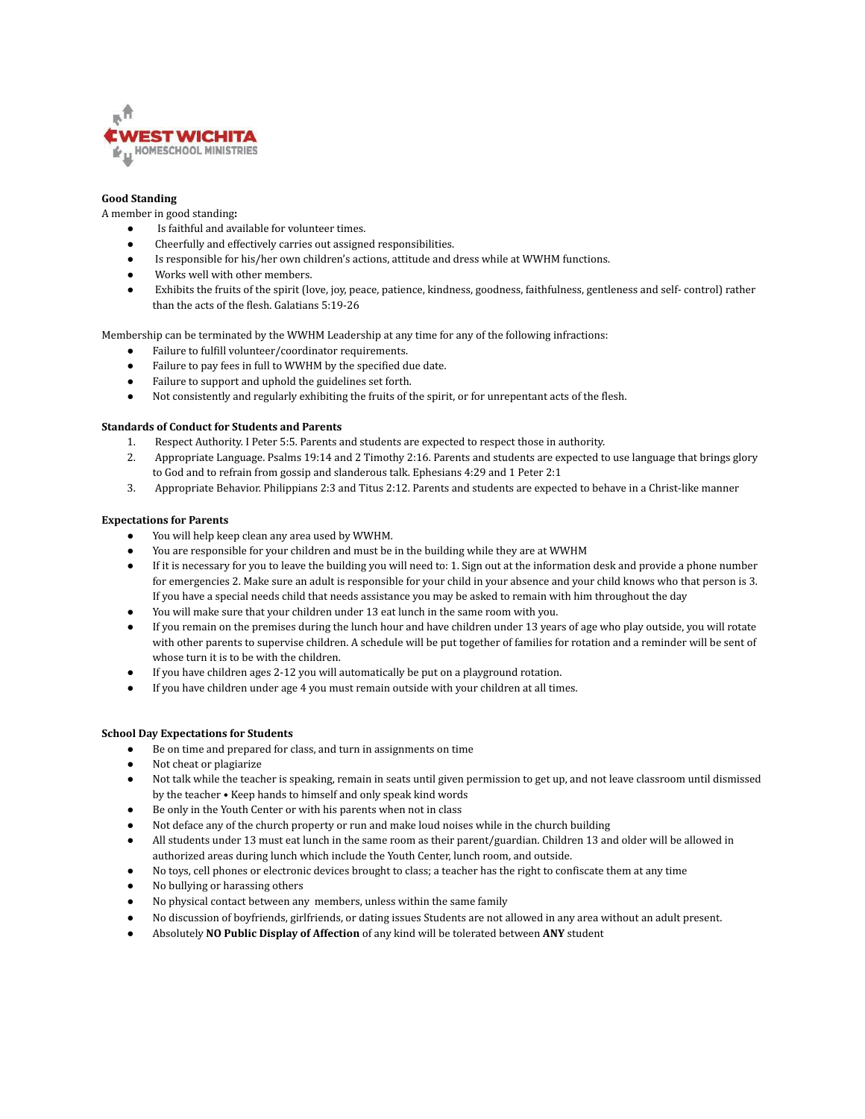

## **Good Standing**

A member in good standing**:**

- Is faithful and available for volunteer times.
- Cheerfully and effectively carries out assigned responsibilities.
- Is responsible for his/her own children's actions, attitude and dress while at WWHM functions.
- Works well with other members.
- Exhibits the fruits of the spirit (love, joy, peace, patience, kindness, goodness, faithfulness, gentleness and self- control) rather than the acts of the flesh. Galatians 5:19-26

Membership can be terminated by the WWHM Leadership at any time for any of the following infractions:

- Failure to fulfill volunteer/coordinator requirements.
- Failure to pay fees in full to WWHM by the specified due date.
- Failure to support and uphold the guidelines set forth.
- Not consistently and regularly exhibiting the fruits of the spirit, or for unrepentant acts of the flesh.

#### **Standards of Conduct for Students and Parents**

- 1. Respect Authority. I Peter 5:5. Parents and students are expected to respect those in authority.
- 2. Appropriate Language. Psalms 19:14 and 2 Timothy 2:16. Parents and students are expected to use language that brings glory to God and to refrain from gossip and slanderous talk. Ephesians 4:29 and 1 Peter 2:1
- 3. Appropriate Behavior. Philippians 2:3 and Titus 2:12. Parents and students are expected to behave in a Christ-like manner

#### **Expectations for Parents**

- You will help keep clean any area used by WWHM.
- You are responsible for your children and must be in the building while they are at WWHM
- If it is necessary for you to leave the building you will need to: 1. Sign out at the information desk and provide a phone number for emergencies 2. Make sure an adult is responsible for your child in your absence and your child knows who that person is 3. If you have a special needs child that needs assistance you may be asked to remain with him throughout the day
- You will make sure that your children under 13 eat lunch in the same room with you.
- If you remain on the premises during the lunch hour and have children under 13 years of age who play outside, you will rotate with other parents to supervise children. A schedule will be put together of families for rotation and a reminder will be sent of whose turn it is to be with the children.
- If you have children ages  $2-12$  you will automatically be put on a playground rotation.
- If you have children under age 4 you must remain outside with your children at all times.

#### **School Day Expectations for Students**

- Be on time and prepared for class, and turn in assignments on time
- Not cheat or plagiarize
- Not talk while the teacher is speaking, remain in seats until given permission to get up, and not leave classroom until dismissed by the teacher • Keep hands to himself and only speak kind words
- Be only in the Youth Center or with his parents when not in class
- Not deface any of the church property or run and make loud noises while in the church building
- All students under 13 must eat lunch in the same room as their parent/guardian. Children 13 and older will be allowed in authorized areas during lunch which include the Youth Center, lunch room, and outside.
- No toys, cell phones or electronic devices brought to class; a teacher has the right to confiscate them at any time
- No bullying or harassing others
- No physical contact between any members, unless within the same family
- No discussion of boyfriends, girlfriends, or dating issues Students are not allowed in any area without an adult present.
- Absolutely **NO Public Display of Affection** of any kind will be tolerated between **ANY** student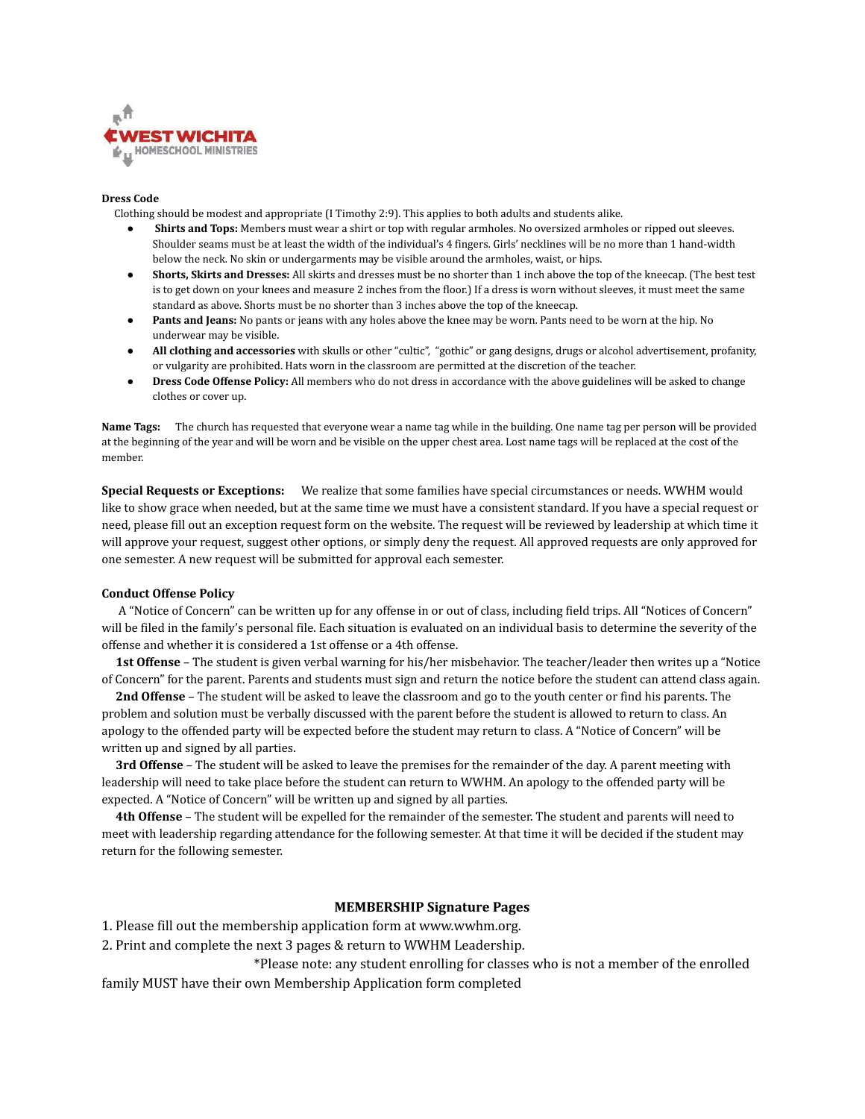

## **Dress Code**

Clothing should be modest and appropriate (I Timothy 2:9). This applies to both adults and students alike.

- **Shirts and Tops:** Members must wear a shirt or top with regular armholes. No oversized armholes or ripped out sleeves. Shoulder seams must be at least the width of the individual's 4 fingers. Girls' necklines will be no more than 1 hand-width below the neck. No skin or undergarments may be visible around the armholes, waist, or hips.
- **Shorts, Skirts and Dresses:** All skirts and dresses must be no shorter than 1 inch above the top of the kneecap. (The best test is to get down on your knees and measure 2 inches from the floor.) If a dress is worn without sleeves, it must meet the same standard as above. Shorts must be no shorter than 3 inches above the top of the kneecap.
- Pants and Jeans: No pants or jeans with any holes above the knee may be worn. Pants need to be worn at the hip. No underwear may be visible.
- **All clothing and accessories** with skulls or other "cultic", "gothic" or gang designs, drugs or alcohol advertisement, profanity, or vulgarity are prohibited. Hats worn in the classroom are permitted at the discretion of the teacher.
- **Dress Code Offense Policy:** All members who do not dress in accordance with the above guidelines will be asked to change clothes or cover up.

**Name Tags:** The church has requested that everyone wear a name tag while in the building. One name tag per person will be provided at the beginning of the year and will be worn and be visible on the upper chest area. Lost name tags will be replaced at the cost of the member.

**Special Requests or Exceptions:** We realize that some families have special circumstances or needs. WWHM would like to show grace when needed, but at the same time we must have a consistent standard. If you have a special request or need, please fill out an exception request form on the website. The request will be reviewed by leadership at which time it will approve your request, suggest other options, or simply deny the request. All approved requests are only approved for one semester. A new request will be submitted for approval each semester.

### **Conduct Offense Policy**

A "Notice of Concern" can be written up for any offense in or out of class, including field trips. All "Notices of Concern" will be filed in the family's personal file. Each situation is evaluated on an individual basis to determine the severity of the offense and whether it is considered a 1st offense or a 4th offense.

**1st Offense** – The student is given verbal warning for his/her misbehavior. The teacher/leader then writes up a "Notice of Concern" for the parent. Parents and students must sign and return the notice before the student can attend class again.

**2nd Offense** – The student will be asked to leave the classroom and go to the youth center or find his parents. The problem and solution must be verbally discussed with the parent before the student is allowed to return to class. An apology to the offended party will be expected before the student may return to class. A "Notice of Concern" will be written up and signed by all parties.

**3rd Offense** – The student will be asked to leave the premises for the remainder of the day. A parent meeting with leadership will need to take place before the student can return to WWHM. An apology to the offended party will be expected. A "Notice of Concern" will be written up and signed by all parties.

**4th Offense** – The student will be expelled for the remainder of the semester. The student and parents will need to meet with leadership regarding attendance for the following semester. At that time it will be decided if the student may return for the following semester.

## **MEMBERSHIP Signature Pages**

1. Please fill out the membership application form at www.wwhm.org.

2. Print and complete the next 3 pages & return to WWHM Leadership.

\*Please note: any student enrolling for classes who is not a member of the enrolled family MUST have their own Membership Application form completed